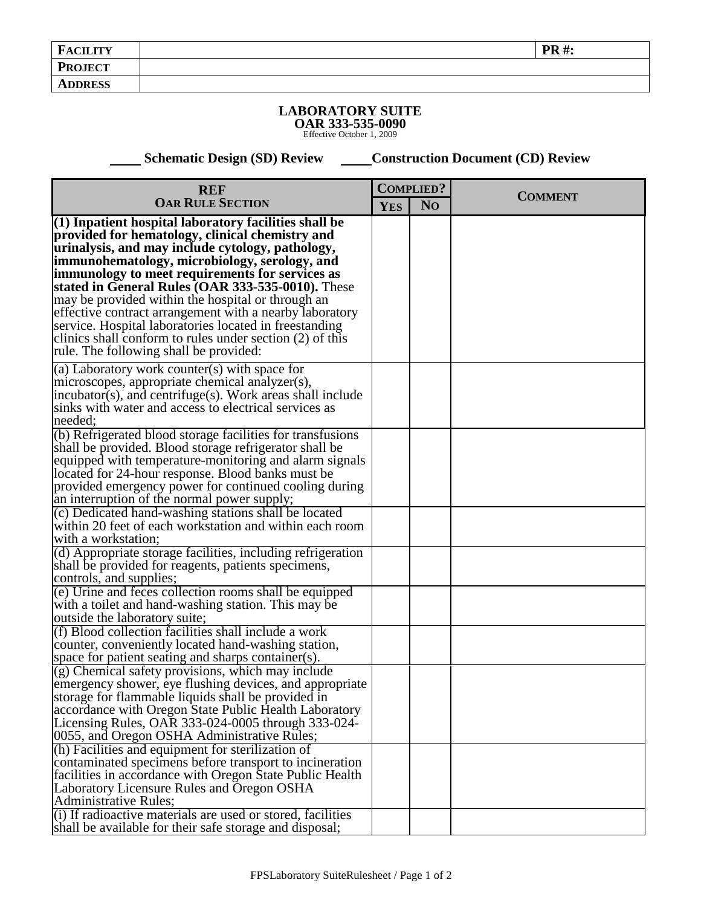## **LABORATORY SUITE OAR 333-535-0090** Effective October 1, 2009

 **Schematic Design (SD) Review Construction Document (CD) Review** 

| <b>REF</b>                                                                                                                                                                                                                                                                   | <b>COMPLIED?</b> |                |                |
|------------------------------------------------------------------------------------------------------------------------------------------------------------------------------------------------------------------------------------------------------------------------------|------------------|----------------|----------------|
| <b>OAR RULE SECTION</b>                                                                                                                                                                                                                                                      | <b>YES</b>       | N <sub>O</sub> | <b>COMMENT</b> |
| (1) Inpatient hospital laboratory facilities shall be<br>provided for hematology, clinical chemistry and<br>urinalysis, and may include cytology, pathology,<br> immunohematology, microbiology, serology, and                                                               |                  |                |                |
| immunology to meet requirements for services as<br>stated in General Rules (OAR 333-535-0010). These                                                                                                                                                                         |                  |                |                |
| may be provided within the hospital or through an<br>effective contract arrangement with a nearby laboratory<br>service. Hospital laboratories located in freestanding<br>clinics shall conform to rules under section (2) of this<br>rule. The following shall be provided: |                  |                |                |
| (a) Laboratory work counter(s) with space for                                                                                                                                                                                                                                |                  |                |                |
| microscopes, appropriate chemical analyzer(s),<br>incubator(s), and centrifuge(s). Work areas shall include                                                                                                                                                                  |                  |                |                |
| sinks with water and access to electrical services as<br>needed:                                                                                                                                                                                                             |                  |                |                |
| (b) Refrigerated blood storage facilities for transfusions                                                                                                                                                                                                                   |                  |                |                |
| shall be provided. Blood storage refrigerator shall be                                                                                                                                                                                                                       |                  |                |                |
| equipped with temperature-monitoring and alarm signals<br>located for 24-hour response. Blood banks must be                                                                                                                                                                  |                  |                |                |
| provided emergency power for continued cooling during                                                                                                                                                                                                                        |                  |                |                |
| an interruption of the normal power supply;                                                                                                                                                                                                                                  |                  |                |                |
| (c) Dedicated hand-washing stations shall be located                                                                                                                                                                                                                         |                  |                |                |
| within 20 feet of each workstation and within each room                                                                                                                                                                                                                      |                  |                |                |
| with a workstation;<br>(d) Appropriate storage facilities, including refrigeration                                                                                                                                                                                           |                  |                |                |
| shall be provided for reagents, patients specimens,                                                                                                                                                                                                                          |                  |                |                |
| controls, and supplies;                                                                                                                                                                                                                                                      |                  |                |                |
| (e) Urine and feces collection rooms shall be equipped                                                                                                                                                                                                                       |                  |                |                |
| with a toilet and hand-washing station. This may be                                                                                                                                                                                                                          |                  |                |                |
| outside the laboratory suite;                                                                                                                                                                                                                                                |                  |                |                |
| (f) Blood collection facilities shall include a work                                                                                                                                                                                                                         |                  |                |                |
| counter, conveniently located hand-washing station,<br>space for patient seating and sharps container(s).                                                                                                                                                                    |                  |                |                |
| $(g)$ Chemical safety provisions, which may include                                                                                                                                                                                                                          |                  |                |                |
| emergency shower, eye flushing devices, and appropriate                                                                                                                                                                                                                      |                  |                |                |
| storage for flammable liquids shall be provided in                                                                                                                                                                                                                           |                  |                |                |
| accordance with Oregon State Public Health Laboratory                                                                                                                                                                                                                        |                  |                |                |
| Licensing Rules, OAR 333-024-0005 through 333-024-                                                                                                                                                                                                                           |                  |                |                |
| 0055, and Oregon OSHA Administrative Rules;                                                                                                                                                                                                                                  |                  |                |                |
| (h) Facilities and equipment for sterilization of<br>contaminated specimens before transport to incineration                                                                                                                                                                 |                  |                |                |
| facilities in accordance with Oregon State Public Health                                                                                                                                                                                                                     |                  |                |                |
| Laboratory Licensure Rules and Oregon OSHA                                                                                                                                                                                                                                   |                  |                |                |
| Administrative Rules;                                                                                                                                                                                                                                                        |                  |                |                |
| (i) If radioactive materials are used or stored, facilities                                                                                                                                                                                                                  |                  |                |                |
| shall be available for their safe storage and disposal;                                                                                                                                                                                                                      |                  |                |                |